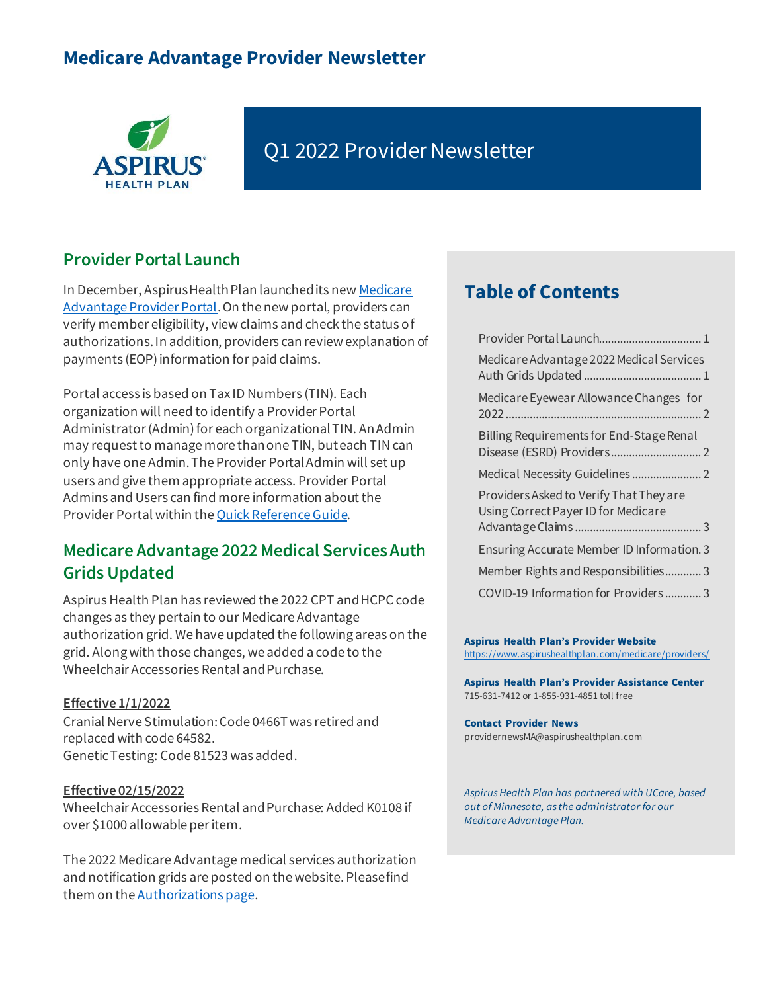# **Medicare Advantage Provider Newsletter**



# Q1 2022 Provider Newsletter

## <span id="page-0-0"></span>**Provider Portal Launch**

In December, Aspirus Health Plan launched its ne[w Medicare](https://www.aspirushealthplan.com/medicare/providers/login/)  [Advantage Provider Portal](https://www.aspirushealthplan.com/medicare/providers/login/). On the new portal, providers can verify member eligibility, view claims and check the status of authorizations. In addition, providers can review explanation of payments (EOP) information for paid claims.

Portal access is based on Tax ID Numbers (TIN). Each organization will need to identify a Provider Portal Administrator (Admin) for each organizational TIN. An Admin may request to manage more than one TIN, but each TIN can only have one Admin. The Provider Portal Admin will set up users and give them appropriate access. Provider Portal Admins and Users can find more information about the Provider Portal within th[e Quick Reference Guide](https://www.aspirushealthplan.com/medicare/wp-content/uploads/provider/documents/ProviderPortalQuickReferenceGuide_ASP.pdf).

## <span id="page-0-1"></span>**Medicare Advantage 2022 Medical Services Auth Grids Updated**

Aspirus Health Plan has reviewed the 2022 CPT and HCPC code changes as they pertain to our Medicare Advantage authorization grid. We have updated the following areas on the grid. Along with those changes, we added a code to the Wheelchair Accessories Rental and Purchase.

#### **Effective 1/1/2022**

Cranial Nerve Stimulation: Code 0466T was retired and replaced with code 64582. Genetic Testing: Code 81523 was added.

#### **Effective 02/15/2022**

Wheelchair Accessories Rental and Purchase: Added K0108 if over \$1000 allowable per item.

The 2022 Medicare Advantage medical services authorization and notification grids are posted on the website. Please find them on the [Authorizations page](https://www.aspirushealthplan.com/medicare/providers/authorizations/).

## **Table of Contents**

| Medicare Advantage 2022 Medical Services                                       |
|--------------------------------------------------------------------------------|
| Medicare Eyewear Allowance Changes for                                         |
| Billing Requirements for End-Stage Renal                                       |
|                                                                                |
| Providers Asked to Verify That They are<br>Using Correct Payer ID for Medicare |
|                                                                                |
| Ensuring Accurate Member ID Information. 3                                     |
| Member Rights and Responsibilities3                                            |
| COVID-19 Information for Providers3                                            |

#### **Aspirus Health Plan's Provider Website**

<https://www.aspirushealthplan.com/medicare/providers/>

**Aspirus Health Plan's Provider Assistance Center** 715-631-7412 or 1-855-931-4851 toll free

## **Contact Provider News**

[providernewsMA@aspirushealthplan.co](mailto:providernewsMA@aspirushealthplan.co)m

*Aspirus Health Plan has partnered with UCare, based out of Minnesota, as the administrator for our Medicare Advantage Plan.*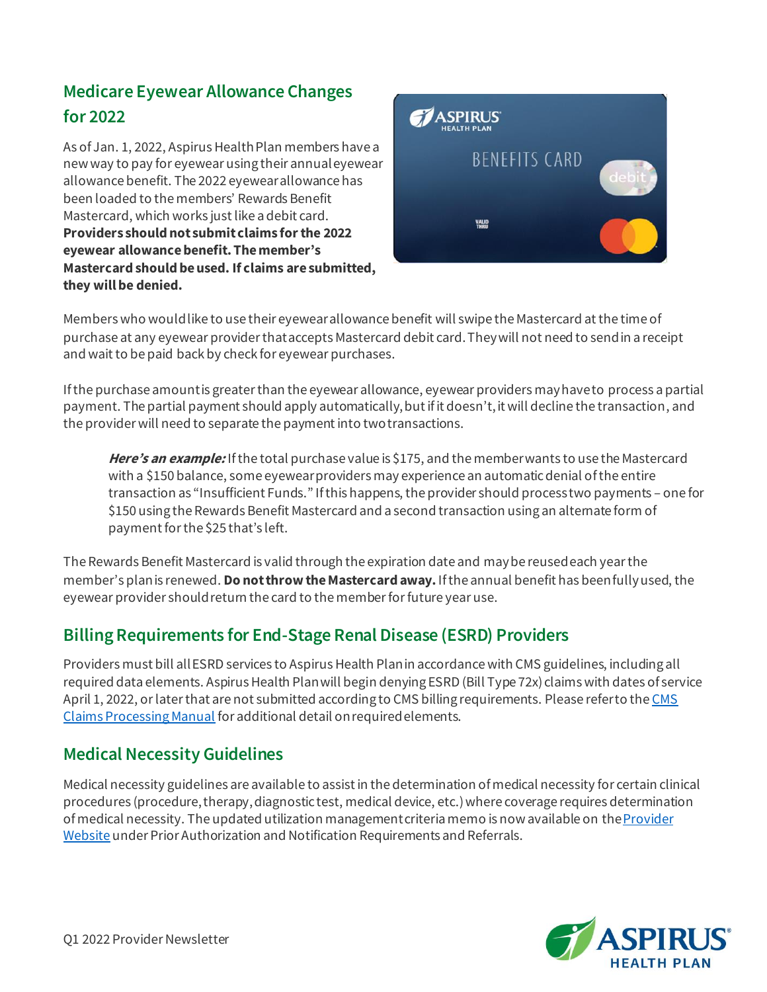# <span id="page-1-0"></span>**Medicare Eyewear Allowance Changes for 2022**

As of Jan. 1, 2022, Aspirus Health Plan members have a new way to pay for eyewear using their annual eyewear allowance benefit. The 2022 eyewear allowance has been loaded to the members' Rewards Benefit Mastercard, which works just like a debit card. **Providers should not submit claims for the 2022 eyewear allowance benefit. The member's Mastercard should be used. If claims are submitted, they will be denied.** 



Members who would like to use their eyewear allowance benefit will swipe the Mastercard at the time of purchase at any eyewear provider that accepts Mastercard debit card. They will not need to send in a receipt and wait to be paid back by check for eyewear purchases.

If the purchase amount is greater than the eyewear allowance, eyewear providers may have to process a partial payment. The partial payment should apply automatically, but if it doesn't, it will decline the transaction, and the provider will need to separate the payment into two transactions.

**Here's an example:** If the total purchase value is \$175, and the member wants to use the Mastercard with a \$150 balance, some eyewear providers may experience an automatic denial of the entire transaction as "Insufficient Funds." If this happens, the provider should processtwo payments – one for \$150 using the Rewards Benefit Mastercard and a second transaction using an alternate form of payment for the \$25 that's left.

The Rewards Benefit Mastercard is valid through the expiration date and may be reused each year the member's plan is renewed. **Do not throw the Mastercard away.** If the annual benefit has been fully used, the eyewear provider should return the card to the member for future year use.

## <span id="page-1-1"></span>**Billing Requirements for End-Stage Renal Disease (ESRD) Providers**

Providers must bill all ESRD services to Aspirus Health Plan in accordance with CMS guidelines, including all required data elements. Aspirus Health Plan will begin denying ESRD (Bill Type 72x) claims with dates of service April 1, 2022, or later that are not submitted according to CMS billing requirements. Please refer to the CMS [Claims Processing Manual](https://www.cms.gov/Regulations-and-Guidance/Guidance/Manuals/Internet-Only-Manuals-IOMs-Items/CMS018912) for additional detail on required elements.

## <span id="page-1-2"></span>**Medical Necessity Guidelines**

Medical necessity guidelines are available to assist in the determination of medical necessity for certain clinical procedures (procedure, therapy, diagnostic test, medical device, etc.) where coverage requires determination of medical necessity. The updated utilization management criteria memo is now available on th[e Provider](http://www.aspirushealthplan.com/medicare/providers)  [Website](http://www.aspirushealthplan.com/medicare/providers) under Prior Authorization and Notification Requirements and Referrals.

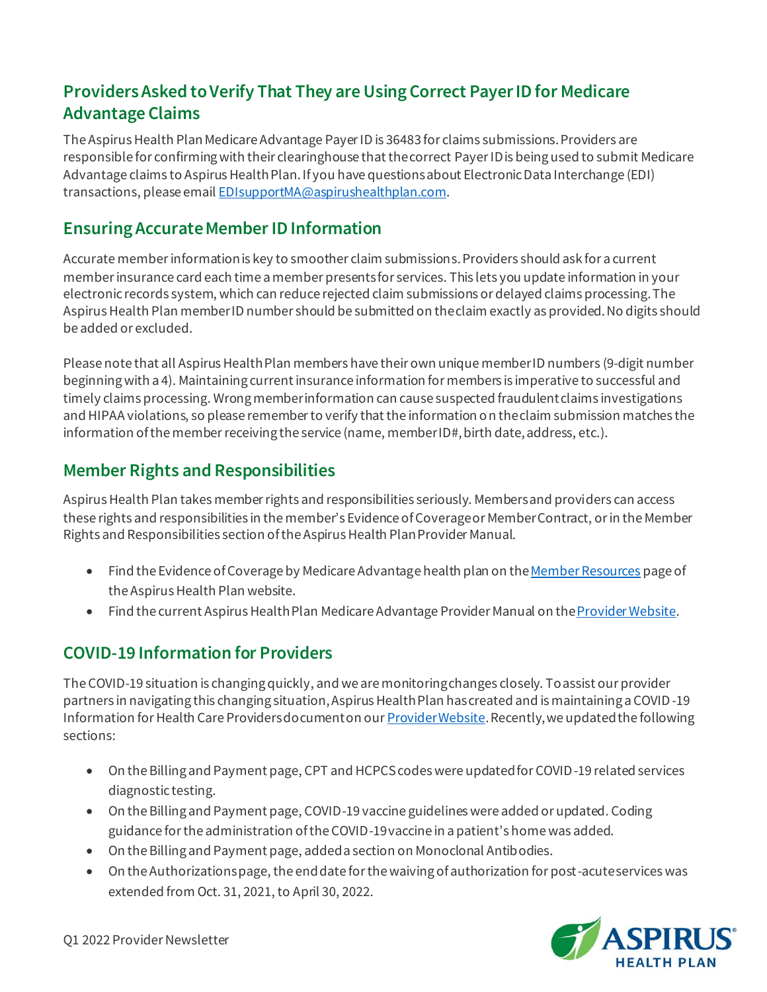## <span id="page-2-0"></span>**Providers Asked to Verify That They are Using Correct Payer ID for Medicare Advantage Claims**

The Aspirus Health PlanMedicare Advantage Payer ID is 36483 for claims submissions. Providers are responsible for confirming with their clearinghouse that the correct Payer ID is being used to submit Medicare Advantage claims to Aspirus Health Plan. If you have questions about Electronic Data Interchange (EDI) transactions, please emai[l EDIsupportMA@aspirushealthplan.com](mailto:EDIsupportMA@aspirushealthplan.com).

## <span id="page-2-1"></span>**Ensuring Accurate Member ID Information**

Accurate member information is key to smoother claim submissions. Providers should ask for a current member insurance card each time a member presents for services. This lets you update information in your electronic records system, which can reduce rejected claim submissions or delayed claims processing. The Aspirus Health Plan member ID number should be submitted on the claim exactly as provided. No digits should be added or excluded.

Please note that all Aspirus Health Plan members have their own unique member ID numbers (9-digit number beginning with a 4). Maintaining current insurance information for members is imperative to successful and timely claims processing. Wrong member information can cause suspected fraudulent claims investigations and HIPAA violations, so please remember to verify that the information on the claim submission matches the information of the member receiving the service (name, member ID#, birth date, address, etc.).

## <span id="page-2-2"></span>**Member Rights and Responsibilities**

Aspirus Health Plan takes member rights and responsibilities seriously. Members and providers can access these rights and responsibilities in the member's Evidence of Coverage or Member Contract, or in the Member Rights and Responsibilities section of the Aspirus Health Plan Provider Manual.

- Find the Evidence of Coverage by Medicare Advantage health plan on the Member Resources page of the Aspirus Health Plan website.
- Find the current Aspirus Health Plan Medicare Advantage Provider Manual on the *Provider Website*.

## <span id="page-2-3"></span>**COVID-19 Information for Providers**

The COVID-19 situation is changing quickly, and we are monitoring changes closely. To assist our provider partners in navigating this changing situation, Aspirus Health Plan has created and is maintaining a COVID-19 Information for Health Care Providers document on ou[r Provider Website](https://www.aspirushealthplan.com/medicare/providers/). Recently, we updated the following sections:

- On the Billing and Payment page, CPT and HCPCS codes were updated for COVID-19 related services diagnostic testing.
- On the Billing and Payment page, COVID-19 vaccine guidelines were added or updated. Coding guidance for the administration of the COVID-19 vaccine in a patient's home was added.
- On the Billing and Payment page, added a section on Monoclonal Antibodies.
- On the Authorizations page, the end date for the waiving of authorization for post-acute services was extended from Oct. 31, 2021, to April 30, 2022.